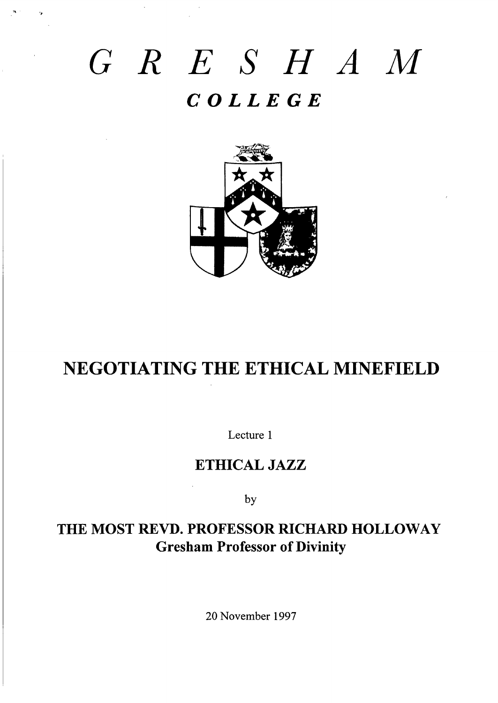# *GRE SHAM COLLEGE*



## NEGOTIATING THE ETHICAL MINEFIELD

Lecture 1

## **ETHICAL JAZZ**

by

## **THE MOST RE~. PROFESSOR NCHARD HOLLOWAY Gresham Professor of Divinity**

20 November 1997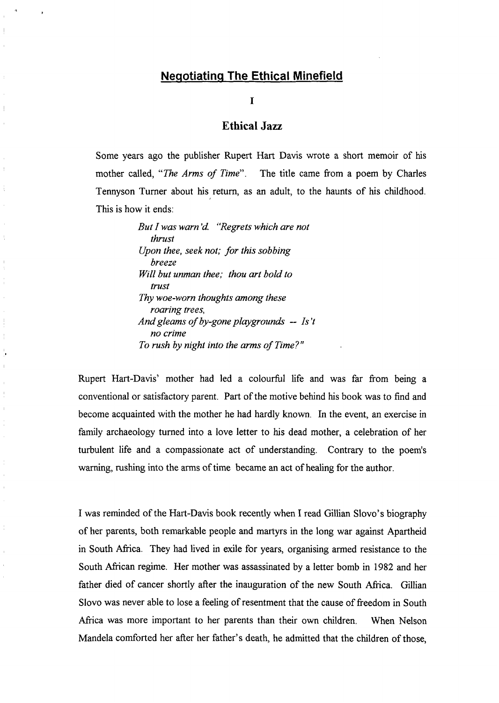#### **Negotiating The Ethical Minefield**

!,

 $\mathbf{I}$ 

,

I

#### **Ethical Jazz**

Some years ago the publisher Rupert Hart Davis wrote a short memoir of his mother called, "*The Arms of Time*". The title came from a poem by Charles Tennyson Turner about his return, as an adult, to the haunts of his childhood. This is how it ends:

> *But I was warn 'd "Regrets whjch are not thrust Upon thee, seek not; for thjs sobbjng breeze Will but unman thee; thou art bold to trust Thy woe-worn thoughts among these roaring trees, And gleams of by-gone playground -- Is 't no crime To rush by night into the arms of Time? 1'*

Rupert Hart-Davis' mother had led a colourful life and was far from being a conventional or satisfactory parent. Part of the motive behind his book was to find and become acquainted with the mother he had hardly known. In the event, an exercise in family archaeology turned into a love letter to his dead mother, a celebration of her turbulent life and a compassionate act of understanding. Contrary to the poem's warning, rushing into the arms of time became an act of healing for the author.

I was reminded of the Hart-Davis book recently when I read Glllian Slovo's biography of her parents, both remarkable people and martyrs in the long war against Apartheid in South Africa. They had lived in exile for years, organising armed resistance to the South African regime. Her mother was assassinated by a letter bomb in 1982 and her father died of cancer shortly after the inauguration of the new South Africa. Gillian Slovo was never able to lose a feeling of resentment that the cause of freedom in South Africa was more important to her parents than their own children. When Nelson Mandela comforted her after her father's death, he admitted that the children of those,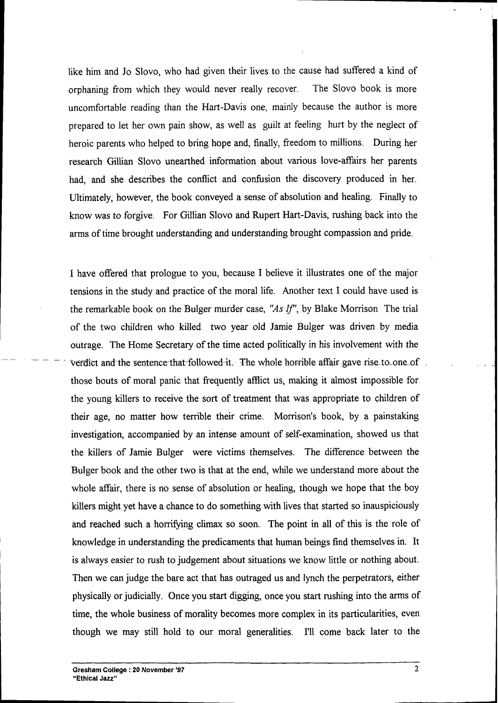like him and Jo Slovo, who had given their lives to the cause had suffered a kind of orphaning from which they would never really recover. The Slovo book is more uncomfortable reading than the Hart-Davis one, mainly because the author is more prepared to let her own pain show, as well as guilt at feeling hurt by the neglect of heroic parents who helped to bring hope and, finally, freedom to millions. During her research Gillian Slovo unearthed information about various love-affairs her parents had, and she describes the conflict and confusion the discovery produced in her. Utimately, however, the book conveyed a sense of absolution and healing. Finally to know was to forgive. For Gillian Slovo and Rupert Hart-Davis, rushing back into the arms of time brought understanding and understanding brought compassion and pride.

I have offered that prologue to you, because I believe it illustrates one of the major tensions in the study and practice of the moral life. Another text I could have used is the remarkable book on the Bulger murder case, "As If", by Blake Morrison The trial of the two children who killed two year old Jamie Bulger was driven by media outrage. The Home Secretary of the time acted politically in his involvement with the verdict and the sentence that-followed-it. The whole horrible affair-gave rise to one of those bouts of moral panic that frequently afflict us, making it almost impossible for the young killers to receive the sort of treatment that was appropriate to children of their age, no matter how terrible their crime. Morrison's book, by a painstaking investigation, accompanied by an intense amount of self-examination, showed us that the killers of Jarnie Bulger were victims themselves. The difference between the Bulger book and the other two is that at the end, while we understand more about the whole affair, there is no sense of absolution or healing, though we hope that the boy killers might yet have a chance to do something with lives that started so inauspiciously and reached such a horrifying climax so soon. The point in all of this is the role of knowledge in understanding the predicaments that human beings find themselves in. It is always easier to rush to judgement about situations we know little or nothing about. Then we can judge the bare act that has outraged us and lynch the perpetrators, either physically or judicially. Once you start digging, once you start rushing into the arms of time, the whole business of morality becomes more complex in its particularities, even though we may still hold to our moral generalities. I'll come back later to the

—

 $\mathbf{I}$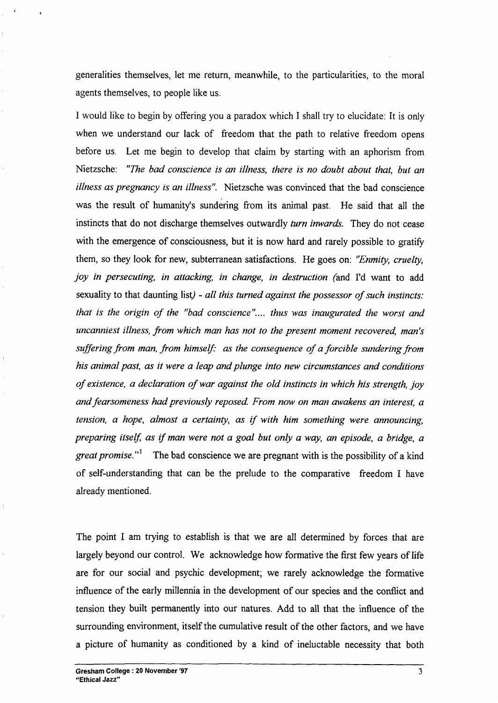generalities themselves, let me return, meanwhile, to the particularities, to the moral agents themselves, to people like us.

,

I would like to begin by offering you a paradox which I shall try to elucidate: It is only when we understand our lack of freedom that the path to relative freedom opens before us. Let me begin to develop that claim by starting with an aphorism from Nietzsche: "me *bad conscience is an illness, there is no doubt about that, but an illness as pregnancy is an illness".* Nietzsche was convinced that the bad conscience was the result of humanity's sundering from its animal past. He said that all the instincts that do not discharge themselves outwardly *turn inwards*. They do not cease with the emergence of consciousness, but it is now hard and rarely possible to gratify them, so they look for new, subterranean satisfactions. He goes on: *"Enmity, cruelty, joy in persecuting, in attacking, in change, in destruction (and I'd want to add* sexuality to that daunting list) - *all this turned against the possessor of mch instincts: that is the origin of the* "bad *conscience*".... *thus* was *inaugurated the* worst and *uncanniest illness, from which man has not to the present moment recovered, man's mfleringfiom man, from himself: as the consequence of a forcible sundering from his animal past, as it were a leap and plunge into nm circumstances and conditions of existence, a declaration of war against the old instincts in which his strength, joy and fearsomeness had previously reposed. From now on man wakens an interest, a tension, a hope, almost a certainty, as 1~with him something were announcing, preparing itse~ as lf man were not a goal but on~ a way, an episode, a bridge, a great promise."1* The bad conscience we are pregnant with is the possibility of a kind of self-understanding that can be the prelude to the comparative freedom I have already mentioned.

The point I am trying to establish is that we are all determined by forces that are largely beyond our control. We acknowledge how formative the first few years of life are for our social and psychic development; we rarely acknowledge the formative influence of the early millennia in the development of our species and the conflict and tension they built permanently into our natures. Add to all that the influence of the surrounding environment, itself the cumulative result of the other factors, and we have a picture of humanity as conditioned by a kind of ineluctable necessity that both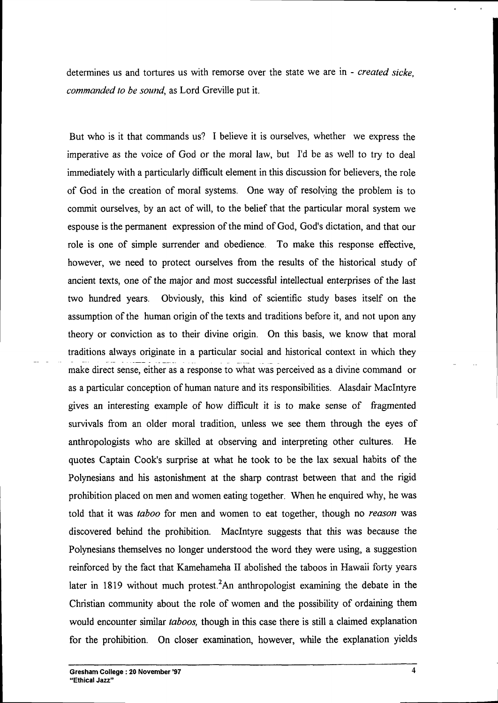determines us and tortures us with remorse over the state we are in - *created sicke, commanded to be sound,* as Lord Greville put it.

But who is it that commands us? I believe it is ourselves, whether we express the imperative as the voice of God or the moral law, but I'd be as well to try to deal immediately with a particularly difficult element in this discussion for believers, the role of God in the creation of moral systems. One way of resolving the problem is to commit ourselves, by an act of will, to the belief that the particular moral system we espouse is the permanent expression of the mind of God, God's dictation, and that our role is one of simple surrender and obedience. To make this response effective, however, we need to protect ourselves from the results of the historical study of ancient texts, one of the major and most successful intellectual enterprises of the last two hundred years. Obviously, this kind of scientific study bases itself on the assumption of the human origin of the texts and traditions before it, and not upon any theory or conviction as to their divine origin. On this basis, we know that moral traditions always originate in a particular social and historical context in which they make direct sense, either as a response to what was perceived as a divine command or as a particular conception of human nature and its responsibilities. Masdair MacIntyre gives an interesting example of how difficult it is to make sense of fragmented survivals from an older moral tradition, unless we see them through the eyes of anthropologists who are skilled at observing and interpreting other cultures. He quotes Captain Cook's surprise at what he took to be the lax sexual habits of the Polynesians and his astonishment at the sharp contrast between that and the rigid prohibition placed on men and women eating together. When he enquired why, he was told that it was *taboo* for men and women to eat together, though no *reason* was discovered behind the prohibition. MacIntyre suggests that this was because the Polynesians themselves no longer understood the word they were using, a suggestion reinforced by the fact that Kamehameha II abolished the taboos in Hawaii forty years later in 1819 without much protest.<sup>2</sup>An anthropologist examining the debate in the Christian community about the role of women and the possibility of ordaining them would encounter similar *taboos,* though in this case there is still a claimed explanation for the prohibition. On closer examination, however, while the explanation yields

**L**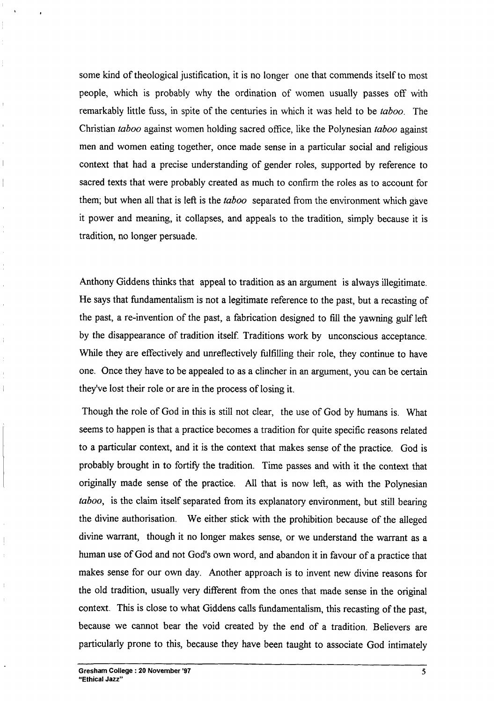some kind of theological justification, it is no longer one that commends itself to most people, which is probably why the ordination of women usually passes off with remarkably little fiss, in spite of the centuries in which it was held to be *taboo.* The Christian *taboo* against women holding sacred office, like the Polynesian *taboo* against men and women eating together, once made sense in a particular social and religious context that had a precise understanding of gender roles, supported by reference to sacred texts that were probably created as much to cofirm the roles as to account for them; but when all that is Iefi is the *taboo* separated from the environment which gave it power and meaning, it collapses, and appeals to the tradition, simply because it is tradition, no longer persuade.

hthony Giddens thinks that appeal to tradition as an argument is always illegitimate. He says that fundamentalism is not a legitimate reference to the past, but a recasting of the past, a re-invention of the past, a fabrication designed to fill the yawning gulf Iefi by the disappearance of tradition itself. Traditions work by unconscious acceptance. While they are effectively and unreflectively fulfilling their role, they continue to have one. Once they have to be appealed to as a clincher in an argument, you can be certain they've lost their role or are in the process of losing it.

Though the role of God in this is still not clear, the use of God by humans is. What seems to happen is that a practice becomes a tradition for quite specific reasons related to a particular context, and it is the context that makes sense of the practice. God is probably brought in to fortify the tradition. Time passes and with it the context that originally made sense of the practice. Ml that is now lefi, as with the Polynesian *taboo, is* the claim itself separated from its explanatory environment, but still bearing the divine authorisation. We either stick with the prohibition because of the alleged divine warrant, though it no longer makes sense, or we understand the warrant as a human use of God and not God's own word, and abandon it in favour of a practice that makes sense for our own day. Another approach is to invent new divine reasons for the old tradition, usually very different from the ones that made sense in the original context. This is close to what Giddens calls findamentdism, this recasting of the past, because we cannot bear the void created by the end of a tradition. Believers are particularly prone to this, because they have been taught to associate God intimately

 $\bar{1}$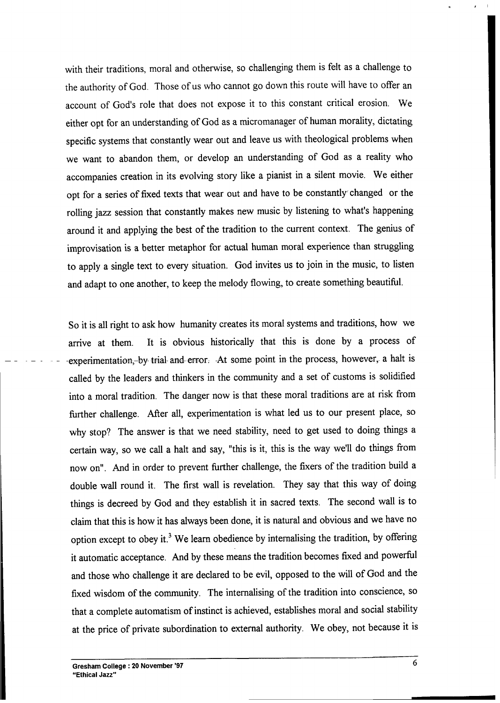with their traditions, moral and otherwise, so challenging them is felt as a challenge to the authority of God. Those of us who cannot go down this route will have to offer an account of God's role that does not expose it to this constant critical erosion. We either opt for an understanding of God as a rnicromanager of human morality, dictating specific systems that constantly wear out and leave us with theological problems when we want to abandon them, or develop an understanding of God as a reality who accompanies creation in its evolving story like a pianist in a silent movie. We either opt for a series of fixed texts that wear out and have to be constantly' changed or the rolling jazz session that constantly makes new music by listening to what's happening around it and applying the best of the tradition to the current context. The genius of improvisation is a better metaphor for actual human moral experience than struggling to apply a single text to every situation. God invites us to join in the music, to listen and adapt to one another, to keep the melody flowing, to create something beautifil.

So it is all right to ask how humanity creates its moral systems and traditions, how we arrive at them. It is obvious historically that this is done by a process of experimentation,-by-trial- and-error. -At some point in the process, however, a halt is called by the leaders and thinkers in the community and a set of customs is solidified into a moral tradition. The danger now is that these moral traditions are at risk from further challenge. After all, experimentation is what led us to our present place, so why stop? The answer is that we need stability, need to get used to doing things a certain way, so we call a halt and say, "this is it, this is the way we'll do things from now on". And in order to prevent further challenge, the fixers of the tradition build a double wdl round it. The first wall is revelation. They say that this way of doing things is decreed by God and they establish it in sacred texts. The second wall is to claim that this is how it has always been done, it is natural and obvious and we have no option except to obey it.<sup>3</sup> We learn obedience by internalising the tradition, by offering it automatic acceptance. And by these means the tradition becomes fixed and powerful and those who challenge it are declared to be evil, opposed to the will of God and the fixed wisdom of the community. The internalizing of the tradition into conscience, so that a complete automatism of instinct is achieved, establishes moral and social stability at the price of private subordination to external authority. We obey, not because it is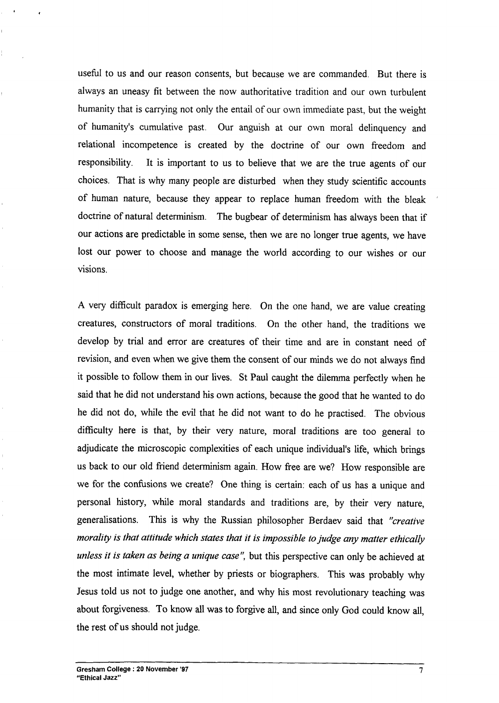usefil to us and our reason consents, but because we are commanded. But there is always an uneasy fit between the now authoritative tradition and our own turbulent humanity that is carrying not only the entail of our own immediate past, but the weight of humanity's cumulative past. Our anguish at our own moral delinquency and relational incompetence is created by the doctrine of our own freedom and responsibility. It is important to us to believe that we are the true agents of our choices. That is why many people are disturbed when they study scientific accounts of human nature, because they appear to replace human freedom with the bleak ' doctrine of natural determinism. The bugbear of determinism has always been that if our actions are predictable in some sense, then we are no longer true agents, we have lost our power to choose and manage the world according to our wishes or our visions.

A very difficult paradox is emerging here. On the one hand, we are value creating creatures, constructors of moral traditions. On the other hand, the traditions we develop by trial and error are creatures of their time and are in constant need of revision, and even when we give them the consent of our minds we do not always find it possible to follow them in our fives. St Paul caught the dilemma perfectly when he said that he did not understand his own actions, because the good that he wanted to do he did not do, while the evil that he did not want to do he practised. The obvious difficulty here is that, by their very nature, moral traditions are too general to adjudicate the microscopic complexities of each unique individual's life, which brings us back to our old friend determinism again. How free are we? How responsible are we for the confusions we create? One thing is certain: each of us has a unique and personal history, while moral standards and traditions are, by their very nature, generalisations. This is why the Russian philosopher Berdaev said that *"creative morality is that attitude which states that it is impossible to judge any matter ethically unless it is taken as being a unique case'~* but this perspective can ody be achieved at the most intimate level, whether by priests or biographers. This was probably why Jesus told us not to judge one another, and why his most revolutionary teaching was about forgiveness. To know all was to forgive all, and since only God could know all, the rest of us should not judge.

,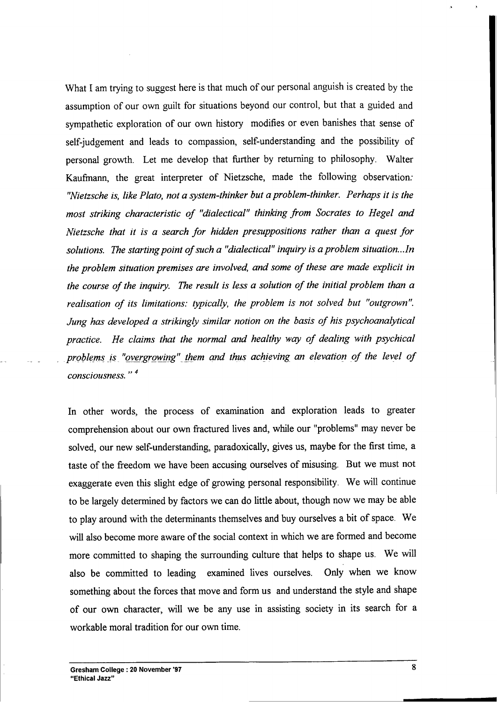What I am trying to suggest here is that much of our personal anguish is created by the assumption of our own guilt for situations beyond our control, but that a guided and sympathetic exploration of our own history modifies or even banishes that sense of self-judgement and leads to compassion, self-understanding and the possibility of personal growth. Let me develop that firther by returning to philosophy. Walter Kaufmann, the great interpreter of Nietzsche, made the following observation: *"Nietzsche is, like Plato, not a ~stem-thinker but a problem-thinker. Perhaps it is the most striking characteristic of "dialectical" thinking from Socrates to Hegel and Nietzsche that it is a search for hitien presuppositions rather than a quest for solutions. The starting point of such a "dialectical" <i>inquiry is a problem situation...In the problem situation premises are involved, and some of these are made explicit in the* course of the *inquiry.* The result is less a solution of the *initial* problem than a *realisation of its limitations: typically, the problem is not solved but "outgrown". Jung* has *developed* a *strikingly similar notion on the basis of his psychoanalytical practice. He claims that the normal and healthy way of dealing with psychical problems .1s. "03rgowing"\_ &em and thus achieving an elevation of the level of ,,* <sup>4</sup> *consciousness.*

In other words, the process of examination and exploration leads to greater comprehension about our own fractured lives and, while our "problems" may never be solved, our new self-understanding, paradoxically, gives us, maybe for the first time, a taste of the freedom we have been accusing ourselves of misusing. But we must not exaggerate even this slight edge of growing personal responsibility. We will continue to be largely determined by factors we can do little about, though now we may be able to play around with the determinants themselves and buy ourselves a bit of space. We will also become more aware of the social context in which we are formed and become more committed to shaping the surrounding culture that helps to shape us. We will also be committed to leading examined lives ourselves. Only when we know something about the forces that move and form us and understand the style and shape of our own character, will we be any use in assisting society in its search for a workable moral tradition for our own time.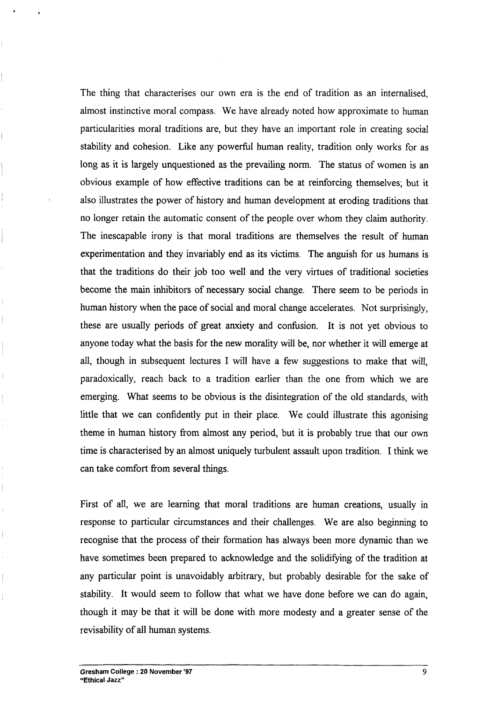The thing that characterises our own era is the end of tradition as an internalised, almost instinctive moral compass. We have already noted how approximate to human particularities moral traditions are, but they have an important role in creating social stability and cohesion. Like any powerful human reality, tradition only works for as long as it is largely unquestioned as the prevailing norm. The status of women is an obvious example of how effective traditions can be at reinforcing themselves; but it also illustrates the power of history and human development at eroding traditions that no longer retain the automatic consent of the people over whom they claim authority. The inescapable irony is that moral traditions are themselves the result of human experimentation and they invariably end as its victims. The anguish for us humans is that the traditions do their job too well and the very virtues of traditional societies become the main inhibitors of necessary social change. There seem to be periods in human history when the pace of social and moral change accelerates. Not surprisingly, these are usually periods of great anxiety and confusion. It is not yet obvious to anyone today what the basis for the new morality will be, nor whether it will emerge at all, though in subsequent lectures I will have a few suggestions to make that will, paradoxically, reach back to a tradition earlier than the one from which we are emerging. What seems to be obvious is the disintegration of the old standards, with little that we can confidently put in their place. We could illustrate this agonising theme in human history from almost any period, but it is probably true that our own time is characterised by an almost uniquely turbulent assault upon tradition. I think we can take comfort from several things.

First of all, we are learning that moral traditions are human creations, usually in response to particular circumstances and their challenges. We are also beginning to recognise that the process of their formation has always been more dynamic than we have sometimes been prepared to acknowledge and the solidifying of the tradition at any particular point is unavoidably arbitrary, but probably desirable for the sake of stability. It would seem to follow that what we have done before we can do again, though it may be that it will be done with more modesty and a greater sense of the revisability of all human systems.

,

4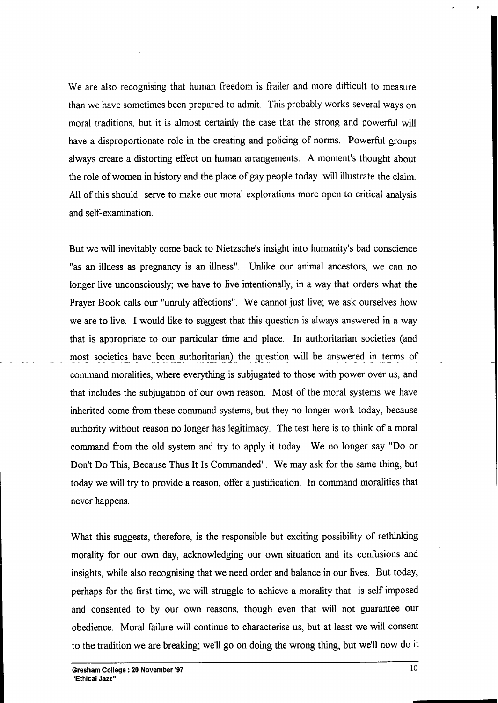We are also recognizing that human freedom is frailer and more difficult to measure than we have sometimes been prepared to admit. This probably works several ways on moral traditions, but it is almost certainly the case that the strong and powefil will have a disproportionate role in the creating and policing of norms. Powerful groups always create a distorting effect on human arrangements. A moment's thought about the role of women in history and the place of gay people today will illustrate the claim. Ml of this should serve to make our moral explorations more open to critical analysis and self-examination.

But we will inevitably come back to Nietzsche's insight into humanity's bad conscience "as an illness as pregnancy is an illness". Unlike our animal ancestors, we can no longer live unconsciously; we have to live intentionally, in a way that orders what the Prayer Book calls our "unruly affections". We cannot just live; we ask ourselves how we are to live. I would like to suggest that this question is always answered in a way that is appropriate to our particular time and place. In authoritarian societies (and most societies have been authoritarian) the question will be answered in terms of command moralities, where everything is subjugated to those with power over us, and that includes the subjugation of our own reason. Most of the moral systems we have inherited come from these command systems, but they no longer work today, because authority without reason no longer has legitimacy. The test here is to think of a moral command from the old system and try to apply it today. We no longer say "Do or Don't Do This, Because Thus It Is Commanded". We may ask for the same thing, but today we will try to provide a reason, offer a justification. In command moralities that never happens.

What this suggests, therefore, is the responsible but exciting possibility of rethinking morality for our own day, acknowledging our own situation and its confusions and insights, while also recognizing that we need order and balance in our lives. But today, perhaps for the first time, we will struggle to achieve a morality that is self imposed and consented to by our own reasons, though even that will not guarantee our obedience. Moral failure will continue to characterise us, but at least we will consent to the tradition we are breaking; we'll go on doing the wrong thing, but we'll now do it ,.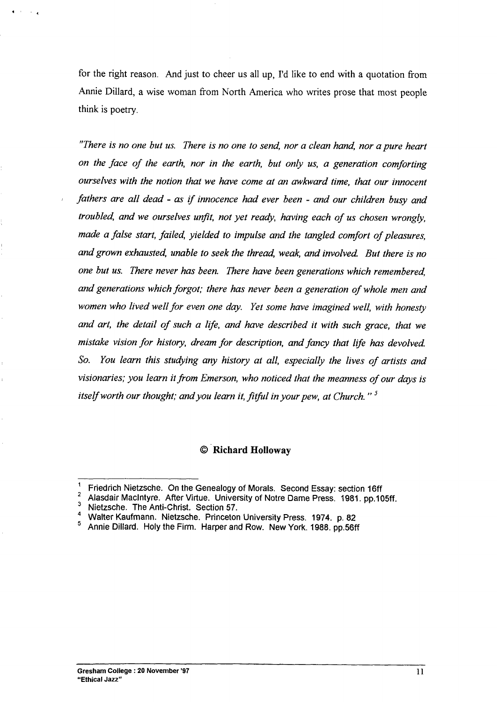for the right reason. And just to cheer us all up, I'd like to end with a quotation from Annie Dillard, a wise woman from North America who writes prose that most people think is poetry.

*"There is no one but us. There is no one to send, nor a clean hand, nor a pure heart on the face of the earth, nor in the earth, but only us, a generation comforting ourselves with the notion that we have come at an mkward time, that our innocent I fathers are all dead - as if innocence had ever been - and our children busy and troubled and we ourselves unfit, not yet ready, having each of us chosen wrongly, made a false start, failed, yielded to impulse and the tangled comfort of pieasures, and grown exhausted, unable to seek the thread, weak, and involved. But there is no <i>one but us. There never has been. There have been generations which remembered, and generations which forgot; there has never been a generation of whole men and women who lived well for even one ~. Yet some have imagined well, with honesty and art, the detail of such a ll~e, and have described it with such grace, that we mistake vision for history, dream for description, and fancy that llfe has devolved. So. You learn this studying any history at all, especially the lives of artists and visionaries; you learn it from Emerson, who noticed that the meanness of our days is itself worth our thought; andyou learn it, fitfil in your pew, at Church. " 5*

#### **@"Mchard Holloway**

 $\bullet$  ,  $\bullet$  ,  $\bullet$ 

<sup>&</sup>lt;sup>1</sup> Friedrich Nietzsche. On the Genealogy of Morals. Second Essay: section 16ff

 $\frac{2}{3}$  Alasdair MacIntyre. After Virtue. University of Notre Dame Press. 1981. pp.105ff.

Nietzsche. The Anti-Christ. Sedion 57.

<sup>4</sup> Walter Kaufmann. Nietzsche. Princeton University Press. 1974. p. 82<br>5 Annie Dillard. Holy the Firm. Harner and Pow. New York 1988. pp. 566

<sup>5</sup> Annie Dillard. Holy the Firm. Harper and Row. New York. 1988. pp.56ff